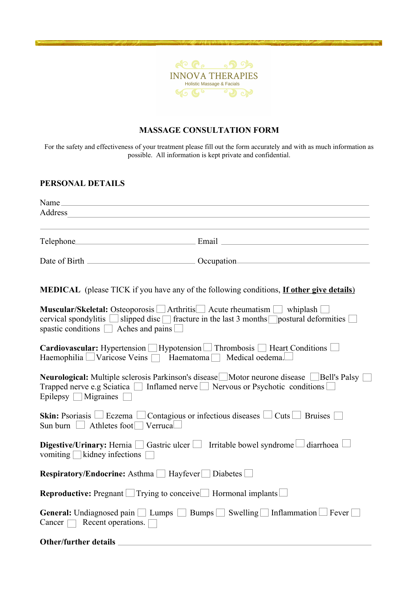

**Contract State** 

# **MASSAGE CONSULTATION FORM**

For the safety and effectiveness of your treatment please fill out the form accurately and with as much information as possible. All information is kept private and confidential.

## **PERSONAL DETAILS**

| Name Name and the state of the state of the state of the state of the state of the state of the state of the state of the state of the state of the state of the state of the state of the state of the state of the state of<br>Address |                                                                                                                                                                                                                                                                                                                                                                                        |  |
|------------------------------------------------------------------------------------------------------------------------------------------------------------------------------------------------------------------------------------------|----------------------------------------------------------------------------------------------------------------------------------------------------------------------------------------------------------------------------------------------------------------------------------------------------------------------------------------------------------------------------------------|--|
|                                                                                                                                                                                                                                          | $Email$ $\qquad \qquad$ $\qquad \qquad$ $\qquad \qquad$ $\qquad \qquad$ $\qquad \qquad$ $\qquad \qquad$ $\qquad \qquad$ $\qquad \qquad$ $\qquad \qquad$ $\qquad \qquad$ $\qquad \qquad$ $\qquad \qquad$ $\qquad \qquad$ $\qquad \qquad$ $\qquad \qquad$ $\qquad \qquad$ $\qquad$ $\qquad \qquad$ $\qquad$ $\qquad$ $\qquad$ $\qquad$ $\qquad$ $\qquad$ $\qquad$ $\qquad$ $\qquad$ $\q$ |  |
|                                                                                                                                                                                                                                          |                                                                                                                                                                                                                                                                                                                                                                                        |  |
|                                                                                                                                                                                                                                          | <b>MEDICAL</b> (please TICK if you have any of the following conditions, <b>If other give details</b> )                                                                                                                                                                                                                                                                                |  |
| Muscular/Skeletal: Osteoporosis Arthritis Acute rheumatism whiplash<br>spastic conditions $\Box$ Aches and pains                                                                                                                         | cervical spondylitis $\Box$ slipped disc $\Box$ fracture in the last 3 months $\Box$ postural deformities $\Box$                                                                                                                                                                                                                                                                       |  |
| <b>Cardiovascular:</b> Hypertension I Hypotension I Thrombosis I Heart Conditions<br>Haemophilia Varicose Veins   Haematoma   Medical oedema.                                                                                            |                                                                                                                                                                                                                                                                                                                                                                                        |  |
| Trapped nerve e.g Sciatica □ Inflamed nerve □ Nervous or Psychotic conditions □<br>Epilepsy $\Box$ Migraines                                                                                                                             | <b>Neurological:</b> Multiple sclerosis Parkinson's disease Motor neurone disease Bell's Palsy                                                                                                                                                                                                                                                                                         |  |
| <b>Skin:</b> Psoriasis $\Box$ Eczema $\Box$ Contagious or infectious diseases $\Box$ Cuts $\Box$ Bruises $\Box$<br>Sun burn   Athletes foot   Verruca                                                                                    |                                                                                                                                                                                                                                                                                                                                                                                        |  |
| vomiting $\Box$ kidney infections                                                                                                                                                                                                        | <b>Digestive/Urinary:</b> Hernia Gastric ulcer Irritable bowel syndrome $\Box$ diarrhoea $\Box$                                                                                                                                                                                                                                                                                        |  |
| <b>Respiratory/Endocrine:</b> Asthma Hayfever Diabetes                                                                                                                                                                                   |                                                                                                                                                                                                                                                                                                                                                                                        |  |
| <b>Reproductive:</b> Pregnant $\Box$ Trying to conceive $\Box$ Hormonal implants $\Box$                                                                                                                                                  |                                                                                                                                                                                                                                                                                                                                                                                        |  |
| Recent operations.<br>Cancer $\Box$                                                                                                                                                                                                      | General: Undiagnosed pain Lumps Bumps Swelling Inflammation Fever                                                                                                                                                                                                                                                                                                                      |  |
| <b>Other/further details</b>                                                                                                                                                                                                             |                                                                                                                                                                                                                                                                                                                                                                                        |  |